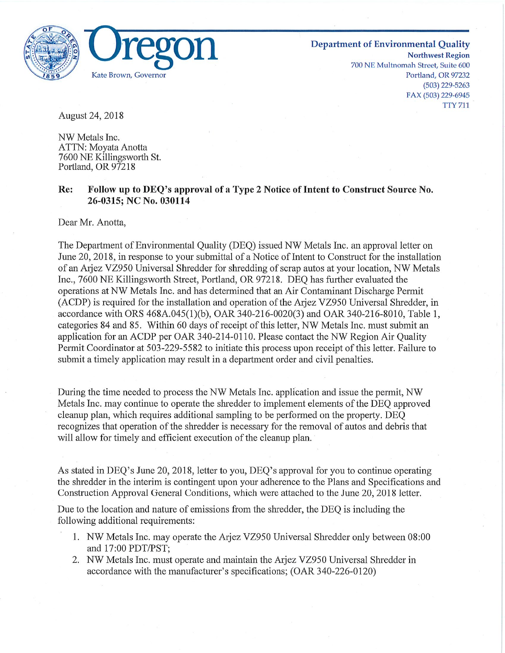

**Department of Environmental Quality<br>Northwest Region<br>700 NE Multnomah Street, Suite 600** Kate Brown/ Governor Portland/ OR 97232 (503) 229-5263 FAX (503) 229-6945 TTY 711

August 24, 2018

NW Metals Inc. ATTN: Moyata Anotta 7600 NE Killingsworth St. Portland, OR 97218

## Re: Follow up to DEQ^s approval of a Type 2 Notice of Intent to Construct Source No. 26-0315; NC No. 030114

Dear Mr. Anotta,

The Department of Environmental Quality (DEQ) issued NW Metals Inc. an approval letter on June 20, 2018, in response to your submittal of a Notice of Intent to Construct for the installation ofanArjez VZ950 Universal Shredder for shredding of scrap autos at your location, NW Metals Inc., 7600 NE Killingsworth Street, Portland, OR 97218. DEQ has further evaluated the operations at NW Metals Inc. and has determined that an Air Contaminant Discharge Permit (ACDP) is required for the installation and operation of the Arjez VZ950 Universal Shredder, in accordance with ORS 468A.045(1)(b), OAR 340-216-0020(3) and OAR 340-216-8010, Table 1, categories 84 and 85. Within 60 days of receipt of this letter, NW Metals Inc. must submit an application for an ACDP per OAR 340-214-0110. Please contact the NW Region Air Quality Permit Coordinator at 503-229-5582 to initiate this process upon receipt of this letter. Failure to submit a timely application may result in a department order and civil penalties.

During the time needed to process the NW Metals Inc. application and issue the permit, NW Metals Inc. may continue to operate the shredder to implement elements of the DEQ approved cleanup plan, which requires additional sampling to be performed on the property. DEQ recognizes that operation of the shredder is necessary for the removal ofautos and debris that will allow for timely and efficient execution of the cleanup plan.

As stated in DEQ's June 20, 2018, letter to you, DEQ's approval for you to continue operating the shredder in the interim is contingent upon your adherence to the Plans and Specifications and Construction Approval General Conditions, which were attached to the June 20, 2018 letter.

Due to the location and nature of emissions from the shredder, the DEQ is including the following additional requirements:

- 1. NW Metals Inc. may operate the Arjez VZ950 Universal Shredder only between 08:00 and 17:00 PDT/PST;
- 2. NW Metals Inc. must operate and maintain the Arjez VZ950 Universal Shredder in accordance with the manufacturer's specifications; (OAR 340-226-0120)